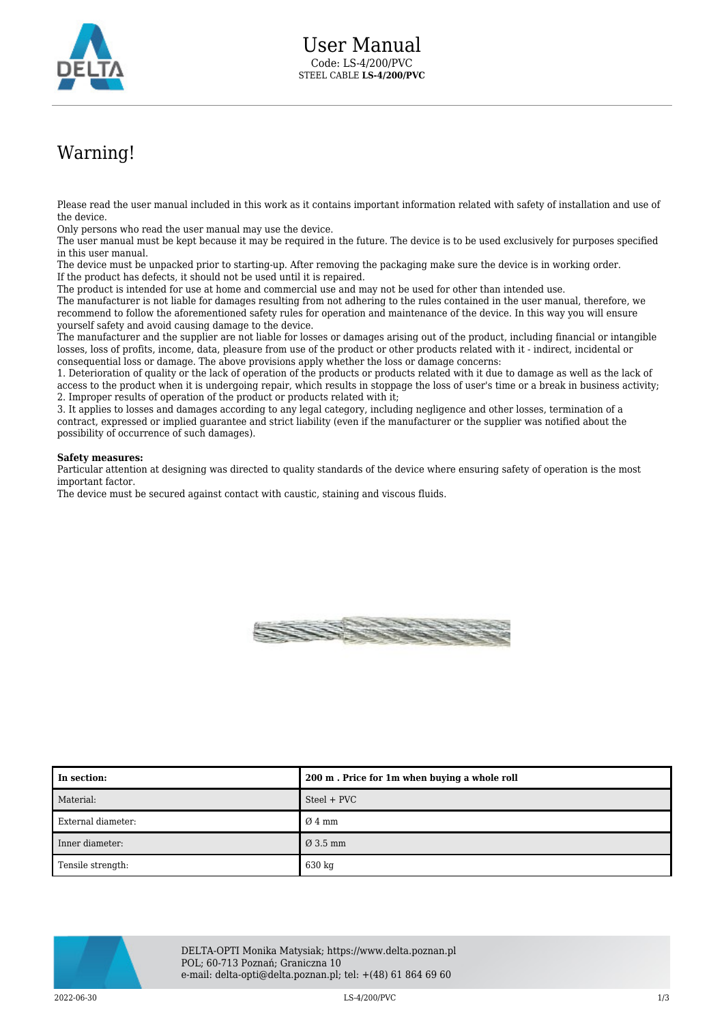

## Warning!

Please read the user manual included in this work as it contains important information related with safety of installation and use of the device.

Only persons who read the user manual may use the device.

The user manual must be kept because it may be required in the future. The device is to be used exclusively for purposes specified in this user manual.

The device must be unpacked prior to starting-up. After removing the packaging make sure the device is in working order. If the product has defects, it should not be used until it is repaired.

The product is intended for use at home and commercial use and may not be used for other than intended use.

The manufacturer is not liable for damages resulting from not adhering to the rules contained in the user manual, therefore, we recommend to follow the aforementioned safety rules for operation and maintenance of the device. In this way you will ensure yourself safety and avoid causing damage to the device.

The manufacturer and the supplier are not liable for losses or damages arising out of the product, including financial or intangible losses, loss of profits, income, data, pleasure from use of the product or other products related with it - indirect, incidental or consequential loss or damage. The above provisions apply whether the loss or damage concerns:

1. Deterioration of quality or the lack of operation of the products or products related with it due to damage as well as the lack of access to the product when it is undergoing repair, which results in stoppage the loss of user's time or a break in business activity; 2. Improper results of operation of the product or products related with it;

3. It applies to losses and damages according to any legal category, including negligence and other losses, termination of a contract, expressed or implied guarantee and strict liability (even if the manufacturer or the supplier was notified about the possibility of occurrence of such damages).

## **Safety measures:**

Particular attention at designing was directed to quality standards of the device where ensuring safety of operation is the most important factor.

The device must be secured against contact with caustic, staining and viscous fluids.



| In section:        | 200 m. Price for 1m when buying a whole roll |
|--------------------|----------------------------------------------|
| Material:          | Steel + PVC                                  |
| External diameter: | $\varnothing$ 4 mm                           |
| Inner diameter:    | $\varnothing$ 3.5 mm                         |
| Tensile strength:  | 630 kg                                       |



DELTA-OPTI Monika Matysiak; https://www.delta.poznan.pl POL; 60-713 Poznań; Graniczna 10 e-mail: delta-opti@delta.poznan.pl; tel: +(48) 61 864 69 60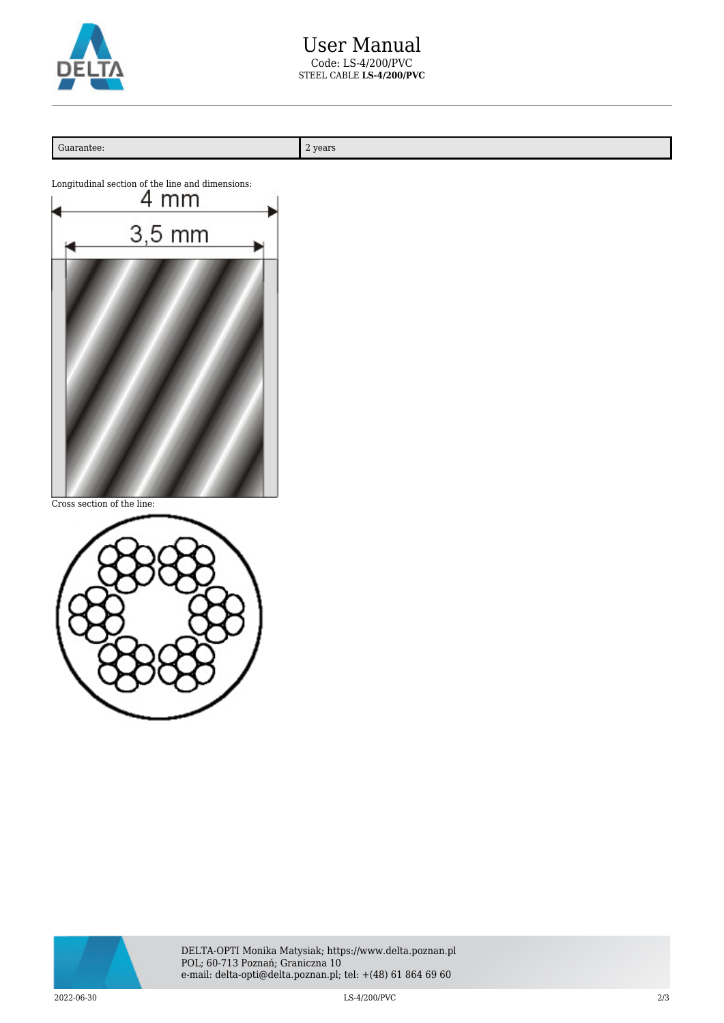

| Guarantee:                                                                                                 | $2\ \mathrm{years}$ |
|------------------------------------------------------------------------------------------------------------|---------------------|
| Longitudinal section of the line and dimensions:<br>4 mm<br>$3,5 \text{ mm}$<br>Cross section of the line: |                     |
|                                                                                                            |                     |



2022-06-30 LS-4/200/PVC 2/3